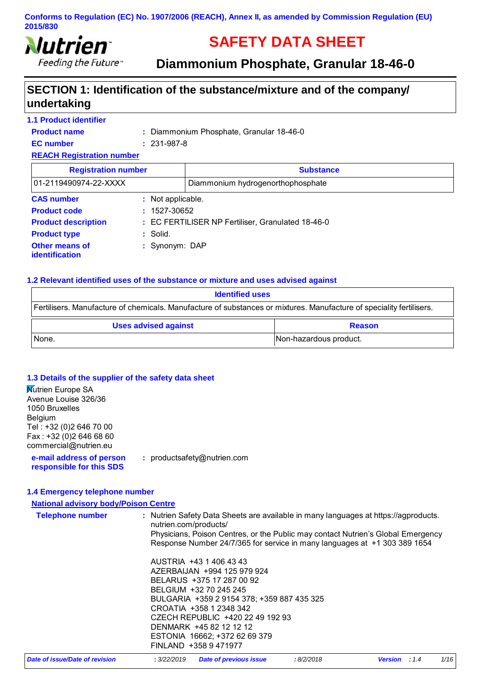

# **SAFETY DATA SHEET**

**Diammonium Phosphate, Granular 18-46-0** 

# **SECTION 1: Identification of the substance/mixture and of the company/ undertaking**

| <b>1.1 Product identifier</b>    |                   |                                                   |  |
|----------------------------------|-------------------|---------------------------------------------------|--|
| <b>Product name</b>              |                   | : Diammonium Phosphate, Granular 18-46-0          |  |
| <b>EC</b> number                 | $: 231 - 987 - 8$ |                                                   |  |
| <b>REACH Registration number</b> |                   |                                                   |  |
| <b>Registration number</b>       |                   | <b>Substance</b>                                  |  |
| 01-2119490974-22-XXXX            |                   | Diammonium hydrogenorthophosphate                 |  |
| <b>CAS number</b>                | : Not applicable. |                                                   |  |
| <b>Product code</b>              | $: 1527 - 30652$  |                                                   |  |
| <b>Product description</b>       |                   | : EC FERTILISER NP Fertiliser, Granulated 18-46-0 |  |
| <b>Product type</b>              | : Solid.          |                                                   |  |
| Other means of<br>identification | : Synonym: DAP    |                                                   |  |

#### **1.2 Relevant identified uses of the substance or mixture and uses advised against**

| <b>Identified uses</b>                                                                                               |                        |
|----------------------------------------------------------------------------------------------------------------------|------------------------|
| Fertilisers. Manufacture of chemicals. Manufacture of substances or mixtures. Manufacture of speciality fertilisers. |                        |
| <b>Uses advised against</b>                                                                                          | <b>Reason</b>          |
| None.                                                                                                                | Non-hazardous product. |

#### **1.3 Details of the supplier of the safety data sheet**

| <b>Mutrien Europe SA</b>                             |                             |
|------------------------------------------------------|-----------------------------|
| Avenue Louise 326/36                                 |                             |
| 1050 Bruxelles                                       |                             |
| Belgium                                              |                             |
| Tel: +32 (0)2 646 70 00                              |                             |
| Fax: +32 (0)2 646 68 60                              |                             |
| commercial@nutrien.eu                                |                             |
| e-mail address of person<br>responsible for this SDS | : productsafety@nutrien.com |
|                                                      |                             |
|                                                      |                             |

#### **1.4 Emergency telephone number**

| <b>National advisory body/Poison Centre</b> |                                                                                                                                                                                                                                                                                                                |      |
|---------------------------------------------|----------------------------------------------------------------------------------------------------------------------------------------------------------------------------------------------------------------------------------------------------------------------------------------------------------------|------|
| <b>Telephone number</b>                     | : Nutrien Safety Data Sheets are available in many languages at https://agproducts.<br>nutrien.com/products/<br>Physicians, Poison Centres, or the Public may contact Nutrien's Global Emergency<br>Response Number 24/7/365 for service in many languages at +1 303 389 1654                                  |      |
|                                             | AUSTRIA +43 1 406 43 43<br>AZERBAIJAN +994 125 979 924<br>BELARUS +375 17 287 00 92<br>BELGIUM +32 70 245 245<br>BULGARIA +359 2 9154 378; +359 887 435 325<br>CROATIA +358 1 2348 342<br>CZECH REPUBLIC +420 22 49 192 93<br>DENMARK +45 82 12 12 12<br>ESTONIA 16662; +372 62 69 379<br>FINLAND +358 9471977 |      |
| Date of issue/Date of revision              | : 3/22/2019<br>Date of previous issue<br>:8/2/2018<br><b>Version</b> : 1.4                                                                                                                                                                                                                                     | 1/16 |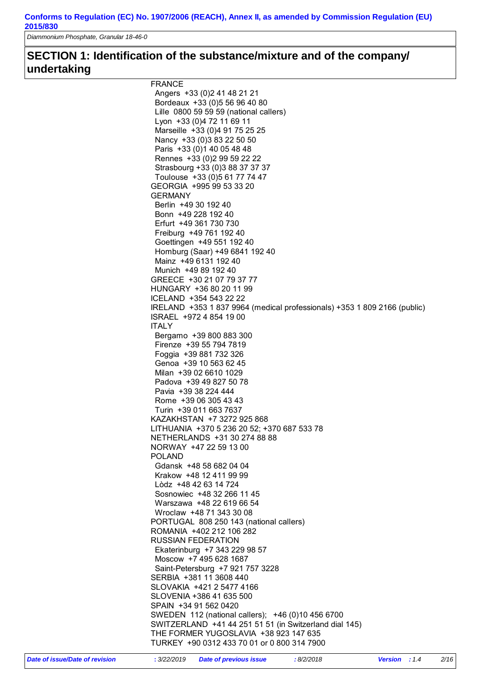*Diammonium Phosphate, Granular 18-46-0* 

# **SECTION 1: Identification of the substance/mixture and of the company/ undertaking**

| <b>FRANCE</b>                                                            |
|--------------------------------------------------------------------------|
| Angers +33 (0) 2 41 48 21 21                                             |
| Bordeaux +33 (0) 5 56 96 40 80                                           |
| Lille 0800 59 59 59 (national callers)                                   |
| Lyon +33 (0)4 72 11 69 11                                                |
| Marseille +33 (0)4 91 75 25 25                                           |
| Nancy +33 (0) 3 83 22 50 50                                              |
| Paris +33 (0) 1 40 05 48 48                                              |
| Rennes +33 (0) 2 99 59 22 22                                             |
| Strasbourg +33 (0)3 88 37 37 37                                          |
| Toulouse +33 (0)5 61 77 74 47                                            |
| GEORGIA +995 99 53 33 20                                                 |
| <b>GERMANY</b>                                                           |
| Berlin +49 30 192 40                                                     |
| Bonn +49 228 192 40                                                      |
| Erfurt +49 361 730 730                                                   |
| Freiburg +49 761 192 40                                                  |
| Goettingen +49 551 192 40                                                |
| Homburg (Saar) +49 6841 192 40                                           |
| Mainz +49 6131 192 40                                                    |
| Munich +49 89 192 40                                                     |
| GREECE +30 21 07 79 37 77                                                |
| HUNGARY +36 80 20 11 99                                                  |
| ICELAND +354 543 22 22                                                   |
| IRELAND +353 1 837 9964 (medical professionals) +353 1 809 2166 (public) |
| ISRAEL +972 4 854 19 00                                                  |
| <b>ITALY</b>                                                             |
| Bergamo +39 800 883 300                                                  |
| Firenze +39 55 794 7819                                                  |
| Foggia +39 881 732 326                                                   |
| Genoa +39 10 563 62 45                                                   |
| Milan +39 02 6610 1029                                                   |
| Padova +39 49 827 50 78                                                  |
| Pavia +39 38 224 444                                                     |
| Rome +39 06 305 43 43                                                    |
| Turin +39 011 663 7637                                                   |
| KAZAKHSTAN +7 3272 925 868                                               |
| LITHUANIA +370 5 236 20 52; +370 687 533 78                              |
| NETHERLANDS +31 30 274 88 88                                             |
| NORWAY +47 22 59 13 00                                                   |
| <b>POLAND</b>                                                            |
| Gdansk +48 58 682 04 04                                                  |
| Krakow +48 12 411 99 99                                                  |
| Lòdz +48 42 63 14 724                                                    |
| Sosnowiec +48 32 266 11 45                                               |
| Warszawa +48 22 619 66 54                                                |
| Wroclaw +48 71 343 30 08                                                 |
| PORTUGAL 808 250 143 (national callers)                                  |
| ROMANIA +402 212 106 282                                                 |
| <b>RUSSIAN FEDERATION</b>                                                |
| Ekaterinburg +7 343 229 98 57                                            |
| Moscow +7 495 628 1687                                                   |
| Saint-Petersburg +7 921 757 3228                                         |
| SERBIA +381 11 3608 440                                                  |
| SLOVAKIA +421 2 5477 4166                                                |
| SLOVENIA +386 41 635 500                                                 |
|                                                                          |
| SPAIN +34 91 562 0420                                                    |
| SWEDEN 112 (national callers); +46 (0)10 456 6700                        |
| SWITZERLAND +41 44 251 51 51 (in Switzerland dial 145)                   |
| THE FORMER YUGOSLAVIA +38 923 147 635                                    |
| TURKEY +90 0312 433 70 01 or 0 800 314 7900                              |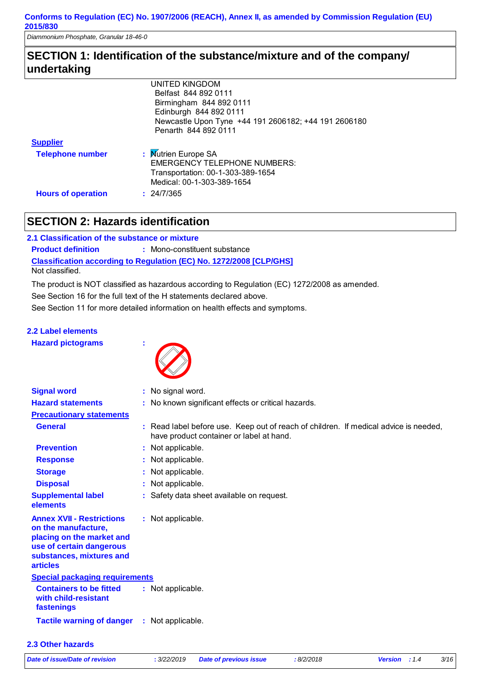*Diammonium Phosphate, Granular 18-46-0* 

# **SECTION 1: Identification of the substance/mixture and of the company/ undertaking**

|                           | <b>UNITED KINGDOM</b>                                |
|---------------------------|------------------------------------------------------|
|                           | Belfast 844 892 0111                                 |
|                           | Birmingham 844 892 0111                              |
|                           | Edinburgh 844 892 0111                               |
|                           | Newcastle Upon Tyne +44 191 2606182; +44 191 2606180 |
|                           | Penarth 844 892 0111                                 |
| <b>Supplier</b>           |                                                      |
| <b>Telephone number</b>   | : Mutrien Europe SA                                  |
|                           | <b>EMERGENCY TELEPHONE NUMBERS:</b>                  |
|                           |                                                      |
|                           | Medical: 00-1-303-389-1654                           |
| <b>Hours of operation</b> | : 24/7/365                                           |
|                           | Transportation: 00-1-303-389-1654                    |

# **SECTION 2: Hazards identification**

| 2.1 Classification of the substance or mixture |                                                                            |
|------------------------------------------------|----------------------------------------------------------------------------|
| <b>Product definition</b>                      | : Mono-constituent substance                                               |
|                                                | <b>Classification according to Regulation (EC) No. 1272/2008 [CLP/GHS]</b> |
| Not classified.                                |                                                                            |

The product is NOT classified as hazardous according to Regulation (EC) 1272/2008 as amended.

See Section 16 for the full text of the H statements declared above.

See Section 11 for more detailed information on health effects and symptoms.

### **2.2 Label elements**

| <b>Hazard pictograms</b> |  |  |
|--------------------------|--|--|
|                          |  |  |



| <b>Signal word</b>                                                                                                                                              | : No signal word.                                                                                                                |
|-----------------------------------------------------------------------------------------------------------------------------------------------------------------|----------------------------------------------------------------------------------------------------------------------------------|
| <b>Hazard statements</b>                                                                                                                                        | : No known significant effects or critical hazards.                                                                              |
| <b>Precautionary statements</b>                                                                                                                                 |                                                                                                                                  |
| <b>General</b>                                                                                                                                                  | : Read label before use. Keep out of reach of children. If medical advice is needed,<br>have product container or label at hand. |
| <b>Prevention</b>                                                                                                                                               | : Not applicable.                                                                                                                |
| <b>Response</b>                                                                                                                                                 | : Not applicable.                                                                                                                |
| <b>Storage</b>                                                                                                                                                  | : Not applicable.                                                                                                                |
| <b>Disposal</b>                                                                                                                                                 | : Not applicable.                                                                                                                |
| <b>Supplemental label</b><br>elements                                                                                                                           | : Safety data sheet available on request.                                                                                        |
| <b>Annex XVII - Restrictions</b><br>on the manufacture,<br>placing on the market and<br>use of certain dangerous<br>substances, mixtures and<br><b>articles</b> | : Not applicable.                                                                                                                |
| <b>Special packaging requirements</b>                                                                                                                           |                                                                                                                                  |
| <b>Containers to be fitted</b><br>with child-resistant<br>fastenings                                                                                            | : Not applicable.                                                                                                                |
| <b>Tactile warning of danger</b>                                                                                                                                | : Not applicable.                                                                                                                |

#### **2.3 Other hazards**

*Date of issue/Date of revision* **:** *3/22/2019 Date of previous issue : 8/2/2018 Version : 1.4 3/16*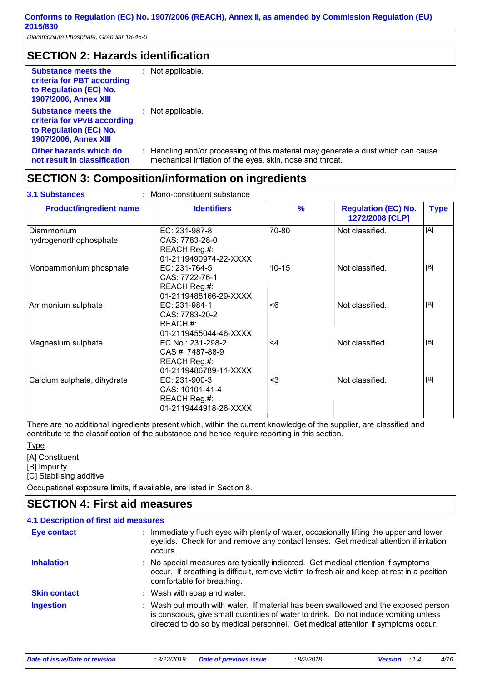**not result in classification**

# **SECTION 2: Hazards identification**

| <b>Substance meets the</b><br>criteria for PBT according<br>to Regulation (EC) No.<br><b>1907/2006, Annex XIII</b>  | : Not applicable.    |
|---------------------------------------------------------------------------------------------------------------------|----------------------|
| <b>Substance meets the</b><br>criteria for vPvB according<br>to Regulation (EC) No.<br><b>1907/2006, Annex XIII</b> | : Not applicable.    |
| Other hazards which do                                                                                              | : Handling and/or pr |

rocessing of this material may generate a dust which can cause mechanical irritation of the eyes, skin, nose and throat.

# **SECTION 3: Composition/information on ingredients**

| <b>Product/ingredient name</b>       | <b>Identifiers</b>                                                             | $\frac{9}{6}$ | <b>Regulation (EC) No.</b><br>1272/2008 [CLP] | <b>Type</b> |
|--------------------------------------|--------------------------------------------------------------------------------|---------------|-----------------------------------------------|-------------|
| Diammonium<br>hydrogenorthophosphate | EC: 231-987-8<br>CAS: 7783-28-0<br>REACH Reg.#:<br>01-2119490974-22-XXXX       | 70-80         | Not classified.                               | [A]         |
| Monoammonium phosphate               | EC: 231-764-5<br>CAS: 7722-76-1<br>REACH Reg.#:<br>01-2119488166-29-XXXX       | $10 - 15$     | Not classified.                               | [B]         |
| Ammonium sulphate                    | EC: 231-984-1<br>CAS: 7783-20-2<br>REACH #:<br>01-2119455044-46-XXXX           | < 6           | Not classified.                               | [B]         |
| Magnesium sulphate                   | EC No.: 231-298-2<br>CAS #: 7487-88-9<br>REACH Reg.#:<br>01-2119486789-11-XXXX | $<$ 4         | Not classified.                               | [B]         |
| Calcium sulphate, dihydrate          | EC: 231-900-3<br>CAS: 10101-41-4<br>REACH Reg.#:<br>01-2119444918-26-XXXX      | $3$           | Not classified.                               | [B]         |

There are no additional ingredients present which, within the current knowledge of the supplier, are classified and contribute to the classification of the substance and hence require reporting in this section.

**Type** 

[A] Constituent [B] Impurity [C] Stabilising additive

Occupational exposure limits, if available, are listed in Section 8.

# **SECTION 4: First aid measures**

| 4.1 Description of first aid measures |                                                                                                                                                                                                                                                                |
|---------------------------------------|----------------------------------------------------------------------------------------------------------------------------------------------------------------------------------------------------------------------------------------------------------------|
| <b>Eye contact</b>                    | : Immediately flush eyes with plenty of water, occasionally lifting the upper and lower<br>eyelids. Check for and remove any contact lenses. Get medical attention if irritation<br>occurs.                                                                    |
| <b>Inhalation</b>                     | : No special measures are typically indicated. Get medical attention if symptoms<br>occur. If breathing is difficult, remove victim to fresh air and keep at rest in a position<br>comfortable for breathing.                                                  |
| <b>Skin contact</b>                   | : Wash with soap and water.                                                                                                                                                                                                                                    |
| <b>Ingestion</b>                      | : Wash out mouth with water. If material has been swallowed and the exposed person<br>is conscious, give small quantities of water to drink. Do not induce vomiting unless<br>directed to do so by medical personnel. Get medical attention if symptoms occur. |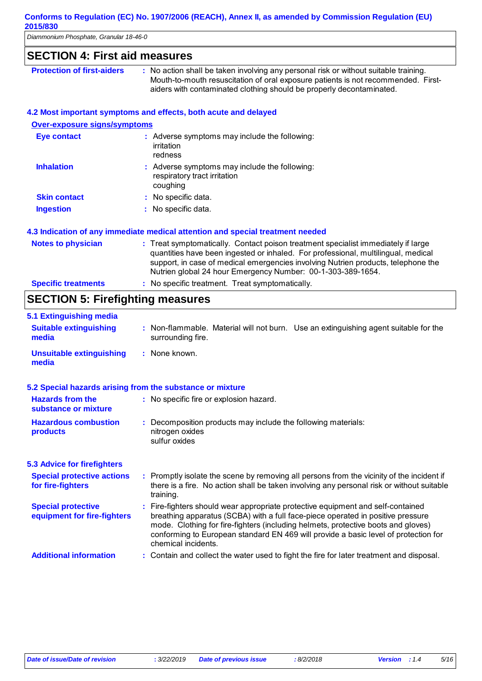*Diammonium Phosphate, Granular 18-46-0* 

| <b>SECTION 4: First aid measures</b>    |                                                                                                                                                                                                                                                                                                                            |
|-----------------------------------------|----------------------------------------------------------------------------------------------------------------------------------------------------------------------------------------------------------------------------------------------------------------------------------------------------------------------------|
| <b>Protection of first-aiders</b>       | : No action shall be taken involving any personal risk or without suitable training.<br>Mouth-to-mouth resuscitation of oral exposure patients is not recommended. First-<br>aiders with contaminated clothing should be properly decontaminated.                                                                          |
|                                         | 4.2 Most important symptoms and effects, both acute and delayed                                                                                                                                                                                                                                                            |
| <b>Over-exposure signs/symptoms</b>     |                                                                                                                                                                                                                                                                                                                            |
| <b>Eye contact</b>                      | : Adverse symptoms may include the following:<br>irritation<br>redness                                                                                                                                                                                                                                                     |
| <b>Inhalation</b>                       | : Adverse symptoms may include the following:<br>respiratory tract irritation<br>coughing                                                                                                                                                                                                                                  |
| <b>Skin contact</b>                     | No specific data.                                                                                                                                                                                                                                                                                                          |
| <b>Ingestion</b>                        | : No specific data.                                                                                                                                                                                                                                                                                                        |
|                                         | 4.3 Indication of any immediate medical attention and special treatment needed                                                                                                                                                                                                                                             |
| <b>Notes to physician</b>               | : Treat symptomatically. Contact poison treatment specialist immediately if large<br>quantities have been ingested or inhaled. For professional, multilingual, medical<br>support, in case of medical emergencies involving Nutrien products, telephone the<br>Nutrien global 24 hour Emergency Number: 00-1-303-389-1654. |
| <b>Specific treatments</b>              | : No specific treatment. Treat symptomatically.                                                                                                                                                                                                                                                                            |
| <b>SECTION 5: Firefighting measures</b> |                                                                                                                                                                                                                                                                                                                            |
| 5.1 Extinguishing media                 |                                                                                                                                                                                                                                                                                                                            |
| <b>Suitable extinguishing</b><br>media  | : Non-flammable. Material will not burn. Use an extinguishing agent suitable for the<br>surrounding fire.                                                                                                                                                                                                                  |
| <b>Unsuitable extinguishing</b>         | : None known.                                                                                                                                                                                                                                                                                                              |

### **5.2 Special hazards arising from the substance or mixture**

| <u> Sposial Haral as allolly il sill the sapetalise of Hillis</u> |                                                                                                                                                                                                                                                                                                                                                                       |
|-------------------------------------------------------------------|-----------------------------------------------------------------------------------------------------------------------------------------------------------------------------------------------------------------------------------------------------------------------------------------------------------------------------------------------------------------------|
| <b>Hazards from the</b><br>substance or mixture                   | : No specific fire or explosion hazard.                                                                                                                                                                                                                                                                                                                               |
| <b>Hazardous combustion</b><br>products                           | : Decomposition products may include the following materials:<br>nitrogen oxides<br>sulfur oxides                                                                                                                                                                                                                                                                     |
| <b>5.3 Advice for firefighters</b>                                |                                                                                                                                                                                                                                                                                                                                                                       |
| <b>Special protective actions</b><br>for fire-fighters            | : Promptly isolate the scene by removing all persons from the vicinity of the incident if<br>there is a fire. No action shall be taken involving any personal risk or without suitable<br>training.                                                                                                                                                                   |
| <b>Special protective</b><br>equipment for fire-fighters          | : Fire-fighters should wear appropriate protective equipment and self-contained<br>breathing apparatus (SCBA) with a full face-piece operated in positive pressure<br>mode. Clothing for fire-fighters (including helmets, protective boots and gloves)<br>conforming to European standard EN 469 will provide a basic level of protection for<br>chemical incidents. |
| <b>Additional information</b>                                     | : Contain and collect the water used to fight the fire for later treatment and disposal.                                                                                                                                                                                                                                                                              |

**media**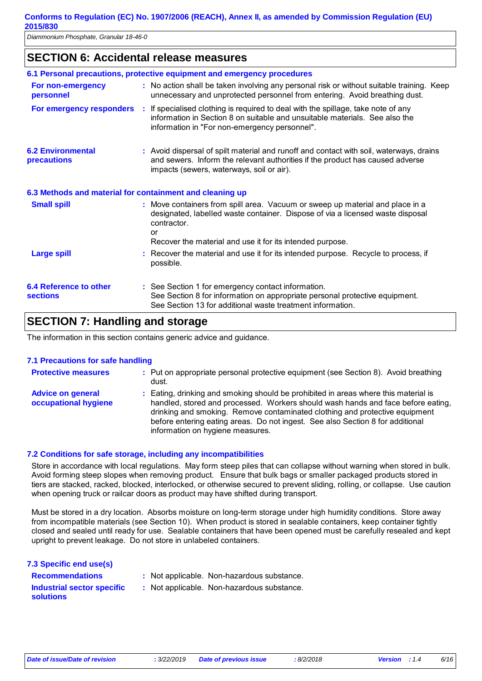## **SECTION 6: Accidental release measures**

|                                                          | 6.1 Personal precautions, protective equipment and emergency procedures                                                                                                                                               |
|----------------------------------------------------------|-----------------------------------------------------------------------------------------------------------------------------------------------------------------------------------------------------------------------|
| For non-emergency<br>personnel                           | : No action shall be taken involving any personal risk or without suitable training. Keep<br>unnecessary and unprotected personnel from entering. Avoid breathing dust.                                               |
| For emergency responders :                               | If specialised clothing is required to deal with the spillage, take note of any<br>information in Section 8 on suitable and unsuitable materials. See also the<br>information in "For non-emergency personnel".       |
| <b>6.2 Environmental</b><br><b>precautions</b>           | : Avoid dispersal of spilt material and runoff and contact with soil, waterways, drains<br>and sewers. Inform the relevant authorities if the product has caused adverse<br>impacts (sewers, waterways, soil or air). |
| 6.3 Methods and material for containment and cleaning up |                                                                                                                                                                                                                       |
| <b>Small spill</b>                                       | : Move containers from spill area. Vacuum or sweep up material and place in a<br>designated, labelled waste container. Dispose of via a licensed waste disposal<br>contractor.<br>or                                  |
|                                                          | Recover the material and use it for its intended purpose.                                                                                                                                                             |
| <b>Large spill</b>                                       | : Recover the material and use it for its intended purpose. Recycle to process, if<br>possible.                                                                                                                       |
| 6.4 Reference to other<br><b>sections</b>                | : See Section 1 for emergency contact information.<br>See Section 8 for information on appropriate personal protective equipment.<br>See Section 13 for additional waste treatment information.                       |

# **SECTION 7: Handling and storage**

The information in this section contains generic advice and guidance.

#### **7.1 Precautions for safe handling**

| <b>Protective measures</b>                       | : Put on appropriate personal protective equipment (see Section 8). Avoid breathing<br>dust.                                                                                                                                                                                                                                                                                 |
|--------------------------------------------------|------------------------------------------------------------------------------------------------------------------------------------------------------------------------------------------------------------------------------------------------------------------------------------------------------------------------------------------------------------------------------|
| <b>Advice on general</b><br>occupational hygiene | : Eating, drinking and smoking should be prohibited in areas where this material is<br>handled, stored and processed. Workers should wash hands and face before eating,<br>drinking and smoking. Remove contaminated clothing and protective equipment<br>before entering eating areas. Do not ingest. See also Section 8 for additional<br>information on hygiene measures. |

#### **7.2 Conditions for safe storage, including any incompatibilities**

Store in accordance with local regulations. May form steep piles that can collapse without warning when stored in bulk. Avoid forming steep slopes when removing product. Ensure that bulk bags or smaller packaged products stored in tiers are stacked, racked, blocked, interlocked, or otherwise secured to prevent sliding, rolling, or collapse. Use caution when opening truck or railcar doors as product may have shifted during transport.

Must be stored in a dry location. Absorbs moisture on long-term storage under high humidity conditions. Store away from incompatible materials (see Section 10). When product is stored in sealable containers, keep container tightly closed and sealed until ready for use. Sealable containers that have been opened must be carefully resealed and kept upright to prevent leakage. Do not store in unlabeled containers.

| 7.3 Specific end use(s)                        |                                            |
|------------------------------------------------|--------------------------------------------|
| <b>Recommendations</b>                         | : Not applicable. Non-hazardous substance. |
| Industrial sector specific<br><b>solutions</b> | : Not applicable. Non-hazardous substance. |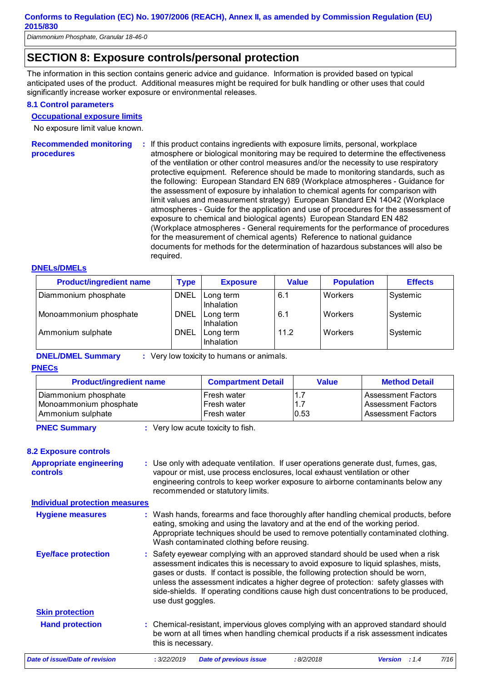# **SECTION 8: Exposure controls/personal protection**

The information in this section contains generic advice and guidance. Information is provided based on typical anticipated uses of the product. Additional measures might be required for bulk handling or other uses that could significantly increase worker exposure or environmental releases.

#### **8.1 Control parameters**

#### **Occupational exposure limits**

No exposure limit value known.

**Recommended monitoring procedures :** If this product contains ingredients with exposure limits, personal, workplace atmosphere or biological monitoring may be required to determine the effectiveness of the ventilation or other control measures and/or the necessity to use respiratory protective equipment. Reference should be made to monitoring standards, such as the following: European Standard EN 689 (Workplace atmospheres - Guidance for the assessment of exposure by inhalation to chemical agents for comparison with limit values and measurement strategy) European Standard EN 14042 (Workplace atmospheres - Guide for the application and use of procedures for the assessment of exposure to chemical and biological agents) European Standard EN 482 (Workplace atmospheres - General requirements for the performance of procedures for the measurement of chemical agents) Reference to national guidance documents for methods for the determination of hazardous substances will also be required.

#### **DNELs/DMELs**

| <b>Product/ingredient name</b> | <b>Type</b> | <b>Exposure</b>         | <b>Value</b> | <b>Population</b> | <b>Effects</b> |
|--------------------------------|-------------|-------------------------|--------------|-------------------|----------------|
| Diammonium phosphate           | <b>DNEL</b> | Long term<br>Inhalation | 6.1          | Workers           | Systemic       |
| Monoammonium phosphate         | <b>DNEL</b> | Long term<br>Inhalation | 6.1          | Workers           | Systemic       |
| Ammonium sulphate              | <b>DNEL</b> | Long term<br>Inhalation | 11.2         | <b>Workers</b>    | Systemic       |

#### **DNEL/DMEL Summary :** Very low toxicity to humans or animals.

#### **PNECs**

| <b>Product/ingredient name</b>                                      | <b>Compartment Detail</b>                 | <b>Value</b> | <b>Method Detail</b>                                                  |
|---------------------------------------------------------------------|-------------------------------------------|--------------|-----------------------------------------------------------------------|
| Diammonium phosphate<br>Monoammonium phosphate<br>Ammonium sulphate | Fresh water<br>Fresh water<br>Fresh water | 1.7<br>0.53  | Assessment Factors<br>Assessment Factors<br><b>Assessment Factors</b> |

**PNEC Summary :** Very low acute toxicity to fish.

#### **8.2 Exposure controls**

**Appropriate engineering controls :** Use only with adequate ventilation. If user operations generate dust, fumes, gas, vapour or mist, use process enclosures, local exhaust ventilation or other engineering controls to keep worker exposure to airborne contaminants below any recommended or statutory limits.

**Individual protection measures**

| <b>Hygiene measures</b>        | : Wash hands, forearms and face thoroughly after handling chemical products, before<br>eating, smoking and using the lavatory and at the end of the working period.<br>Appropriate techniques should be used to remove potentially contaminated clothing.<br>Wash contaminated clothing before reusing.                                                                                                                                                       |
|--------------------------------|---------------------------------------------------------------------------------------------------------------------------------------------------------------------------------------------------------------------------------------------------------------------------------------------------------------------------------------------------------------------------------------------------------------------------------------------------------------|
| <b>Eye/face protection</b>     | : Safety eyewear complying with an approved standard should be used when a risk<br>assessment indicates this is necessary to avoid exposure to liquid splashes, mists,<br>gases or dusts. If contact is possible, the following protection should be worn,<br>unless the assessment indicates a higher degree of protection: safety glasses with<br>side-shields. If operating conditions cause high dust concentrations to be produced,<br>use dust goggles. |
| <b>Skin protection</b>         |                                                                                                                                                                                                                                                                                                                                                                                                                                                               |
| <b>Hand protection</b>         | : Chemical-resistant, impervious gloves complying with an approved standard should<br>be worn at all times when handling chemical products if a risk assessment indicates<br>this is necessary.                                                                                                                                                                                                                                                               |
| Date of issue/Date of revision | 7/16<br>: 3/22/2019<br><b>Date of previous issue</b><br>:8/2/2018<br><b>Version</b> : 1.4                                                                                                                                                                                                                                                                                                                                                                     |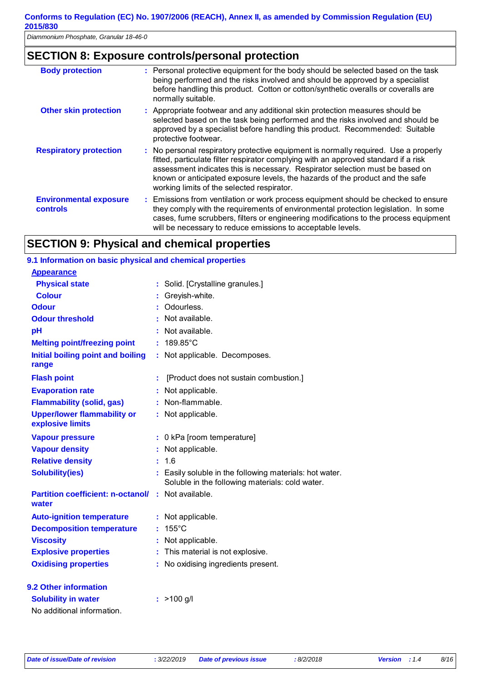# **SECTION 8: Exposure controls/personal protection**

| <b>Body protection</b>                           | : Personal protective equipment for the body should be selected based on the task<br>being performed and the risks involved and should be approved by a specialist<br>before handling this product. Cotton or cotton/synthetic overalls or coveralls are<br>normally suitable.                                                                                                             |
|--------------------------------------------------|--------------------------------------------------------------------------------------------------------------------------------------------------------------------------------------------------------------------------------------------------------------------------------------------------------------------------------------------------------------------------------------------|
| <b>Other skin protection</b>                     | : Appropriate footwear and any additional skin protection measures should be<br>selected based on the task being performed and the risks involved and should be<br>approved by a specialist before handling this product. Recommended: Suitable<br>protective footwear.                                                                                                                    |
| <b>Respiratory protection</b>                    | : No personal respiratory protective equipment is normally required. Use a properly<br>fitted, particulate filter respirator complying with an approved standard if a risk<br>assessment indicates this is necessary. Respirator selection must be based on<br>known or anticipated exposure levels, the hazards of the product and the safe<br>working limits of the selected respirator. |
| <b>Environmental exposure</b><br><b>controls</b> | : Emissions from ventilation or work process equipment should be checked to ensure<br>they comply with the requirements of environmental protection legislation. In some<br>cases, fume scrubbers, filters or engineering modifications to the process equipment<br>will be necessary to reduce emissions to acceptable levels.                                                            |

# **SECTION 9: Physical and chemical properties**

| 9.1 Information on basic physical and chemical properties |    |                                                                                                          |
|-----------------------------------------------------------|----|----------------------------------------------------------------------------------------------------------|
| <b>Appearance</b>                                         |    |                                                                                                          |
| <b>Physical state</b>                                     |    | : Solid. [Crystalline granules.]                                                                         |
| <b>Colour</b>                                             |    | Greyish-white.                                                                                           |
| <b>Odour</b>                                              |    | : Odourless.                                                                                             |
| <b>Odour threshold</b>                                    |    | Not available.                                                                                           |
| pH                                                        |    | Not available.                                                                                           |
| <b>Melting point/freezing point</b>                       | ÷  | 189.85°C                                                                                                 |
| <b>Initial boiling point and boiling</b><br>range         | t. | Not applicable. Decomposes.                                                                              |
| <b>Flash point</b>                                        | ÷. | [Product does not sustain combustion.]                                                                   |
| <b>Evaporation rate</b>                                   |    | Not applicable.                                                                                          |
| <b>Flammability (solid, gas)</b>                          | ÷. | Non-flammable.                                                                                           |
| <b>Upper/lower flammability or</b><br>explosive limits    | t. | Not applicable.                                                                                          |
| <b>Vapour pressure</b>                                    | ÷. | 0 kPa [room temperature]                                                                                 |
| <b>Vapour density</b>                                     |    | Not applicable.                                                                                          |
| <b>Relative density</b>                                   | ÷. | 1.6                                                                                                      |
| <b>Solubility(ies)</b>                                    |    | Easily soluble in the following materials: hot water.<br>Soluble in the following materials: cold water. |
| <b>Partition coefficient: n-octanol/</b><br>water         | ÷. | Not available.                                                                                           |
| <b>Auto-ignition temperature</b>                          | ÷. | Not applicable.                                                                                          |
| <b>Decomposition temperature</b>                          |    | $: 155^{\circ}$ C                                                                                        |
| <b>Viscosity</b>                                          |    | Not applicable.                                                                                          |
| <b>Explosive properties</b>                               | ř. | This material is not explosive.                                                                          |
| <b>Oxidising properties</b>                               |    | No oxidising ingredients present.                                                                        |
| 9.2 Other information                                     |    |                                                                                                          |
| <b>Solubility in water</b>                                |    | $>100$ g/l                                                                                               |
| No additional information.                                |    |                                                                                                          |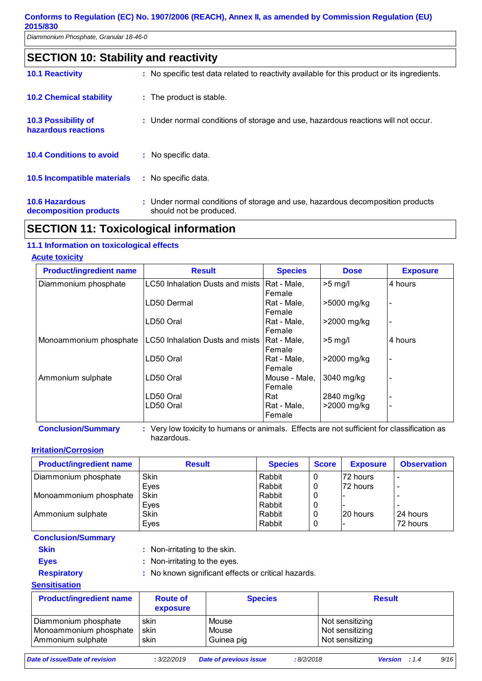| <b>SECTION 10: Stability and reactivity</b>       |                                                                                                           |  |  |  |  |
|---------------------------------------------------|-----------------------------------------------------------------------------------------------------------|--|--|--|--|
| <b>10.1 Reactivity</b>                            | : No specific test data related to reactivity available for this product or its ingredients.              |  |  |  |  |
| <b>10.2 Chemical stability</b>                    | : The product is stable.                                                                                  |  |  |  |  |
| <b>10.3 Possibility of</b><br>hazardous reactions | : Under normal conditions of storage and use, hazardous reactions will not occur.                         |  |  |  |  |
| <b>10.4 Conditions to avoid</b>                   | : No specific data.                                                                                       |  |  |  |  |
| <b>10.5 Incompatible materials</b>                | : No specific data.                                                                                       |  |  |  |  |
| <b>10.6 Hazardous</b><br>decomposition products   | : Under normal conditions of storage and use, hazardous decomposition products<br>should not be produced. |  |  |  |  |

# **SECTION 11: Toxicological information**

### **11.1 Information on toxicological effects**

#### **Acute toxicity**

| <b>Product/ingredient name</b> | <b>Result</b>                          | <b>Species</b> | <b>Dose</b>   | <b>Exposure</b> |
|--------------------------------|----------------------------------------|----------------|---------------|-----------------|
| Diammonium phosphate           | <b>LC50 Inhalation Dusts and mists</b> | Rat - Male,    | $>5$ mg/l     | 4 hours         |
|                                |                                        | Female         |               |                 |
|                                | LD50 Dermal                            | Rat - Male,    | >5000 mg/kg   |                 |
|                                |                                        | Female         |               |                 |
|                                | LD50 Oral                              | Rat - Male,    | $>2000$ mg/kg |                 |
|                                |                                        | Female         |               |                 |
| Monoammonium phosphate         | LC50 Inhalation Dusts and mists        | Rat - Male,    | $>5$ mg/      | 4 hours         |
|                                |                                        | Female         |               |                 |
|                                | LD50 Oral                              | Rat - Male,    | >2000 mg/kg   |                 |
|                                |                                        | Female         |               |                 |
| Ammonium sulphate              | LD50 Oral                              | Mouse - Male,  | 3040 mg/kg    |                 |
|                                |                                        | Female         |               |                 |
|                                | LD50 Oral                              | Rat            | 2840 mg/kg    |                 |
|                                | LD50 Oral                              | Rat - Male,    | >2000 mg/kg   |                 |
|                                |                                        | Female         |               |                 |

**Conclusion/Summary :** Very low toxicity to humans or animals. Effects are not sufficient for classification as hazardous.

#### **Irritation/Corrosion**

| <b>Product/ingredient name</b> | <b>Result</b> | <b>Species</b> | <b>Score</b> | <b>Exposure</b> | <b>Observation</b>       |
|--------------------------------|---------------|----------------|--------------|-----------------|--------------------------|
| Diammonium phosphate           | Skin          | Rabbit         | 0            | l72 hours       | $\overline{\phantom{a}}$ |
|                                | Eyes          | Rabbit         | 0            | 72 hours        | -                        |
| Monoammonium phosphate         | Skin          | Rabbit         | 0            |                 |                          |
|                                | Eyes          | Rabbit         | 0            |                 |                          |
| Ammonium sulphate              | Skin          | Rabbit         | 0            | 20 hours        | 24 hours                 |
|                                | Eyes          | Rabbit         | 0            |                 | 72 hours                 |

**Conclusion/Summary**

- 
- 
- **Skin** : Non-irritating to the skin. **Eyes** : Non-irritating to the eyes.
- 
- **Respiratory :** No known significant effects or critical hazards.

#### **Sensitisation**

| <b>Product/ingredient name</b> | <b>Route of</b><br>exposure | <b>Species</b> | <b>Result</b>   |
|--------------------------------|-----------------------------|----------------|-----------------|
| Diammonium phosphate           | skin                        | Mouse          | Not sensitizing |
| Monoammonium phosphate         | skin                        | Mouse          | Not sensitizing |
| Ammonium sulphate              | skin                        | Guinea pig     | Not sensitizing |

*Date of issue/Date of revision* **:** *3/22/2019 Date of previous issue : 8/2/2018 Version : 1.4 9/16*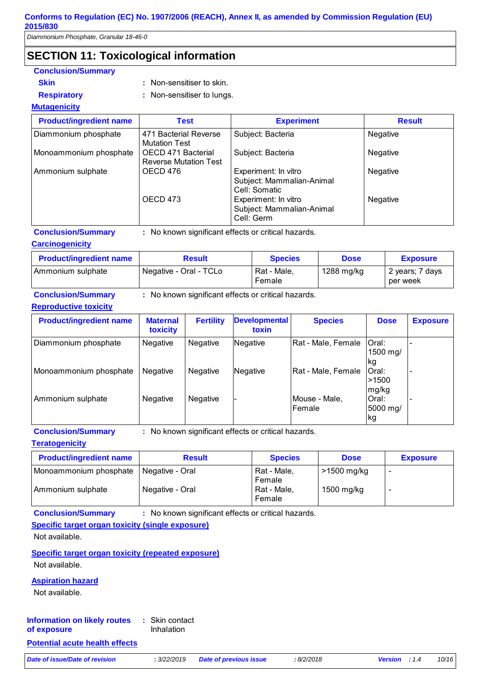*Diammonium Phosphate, Granular 18-46-0* 

# **SECTION 11: Toxicological information**

| <b>Conclusion/Summary</b>      |                                                    |                                                                    |               |
|--------------------------------|----------------------------------------------------|--------------------------------------------------------------------|---------------|
| <b>Skin</b>                    | : Non-sensitiser to skin.                          |                                                                    |               |
| <b>Respiratory</b>             | : Non-sensitiser to lungs.                         |                                                                    |               |
| <b>Mutagenicity</b>            |                                                    |                                                                    |               |
| <b>Product/ingredient name</b> | <b>Test</b>                                        | <b>Experiment</b>                                                  | <b>Result</b> |
| Diammonium phosphate           | 471 Bacterial Reverse<br><b>Mutation Test</b>      | Subject: Bacteria                                                  | Negative      |
| Monoammonium phosphate         | OECD 471 Bacterial<br><b>Reverse Mutation Test</b> | Subject: Bacteria                                                  | Negative      |
| Ammonium sulphate              | OECD 476                                           | Experiment: In vitro<br>Subject: Mammalian-Animal<br>Cell: Somatic | Negative      |
|                                | OECD 473                                           | Experiment: In vitro<br>Subject: Mammalian-Animal<br>Cell: Germ    | Negative      |
| <b>Conclusion/Summary</b>      |                                                    | : No known significant effects or critical hazards.                |               |

**Carcinogenicity**

| <b>Product/ingredient name</b> | <b>Result</b>          | <b>Species</b>        | <b>Dose</b> | <b>Exposure</b>             |
|--------------------------------|------------------------|-----------------------|-------------|-----------------------------|
| Ammonium sulphate              | Negative - Oral - TCLo | Rat - Male.<br>Female | 1288 mg/kg  | 2 years; 7 days<br>per week |

**Conclusion/Summary :** No known significant effects or critical hazards.

#### **Reproductive toxicity**

| <b>Product/ingredient name</b> | <b>Maternal</b><br>toxicity | <b>Fertility</b> | <b>Developmental</b><br>toxin | <b>Species</b>          | <b>Dose</b>              | <b>Exposure</b> |
|--------------------------------|-----------------------------|------------------|-------------------------------|-------------------------|--------------------------|-----------------|
| Diammonium phosphate           | <b>Negative</b>             | <b>Negative</b>  | Negative                      | Rat - Male, Female      | Oral:<br>1500 mg/<br>lkg |                 |
| Monoammonium phosphate         | Negative                    | <b>Negative</b>  | <b>Negative</b>               | Rat - Male, Female      | Oral:<br>>1500<br>mg/kg  |                 |
| Ammonium sulphate              | <b>Negative</b>             | <b>Negative</b>  |                               | Mouse - Male,<br>Female | Oral:<br>5000 mg/<br>kg  |                 |

**Conclusion/Summary :** No known significant effects or critical hazards.

**Teratogenicity**

| <b>Product/ingredient name</b> | <b>Result</b>   | <b>Species</b>        | <b>Dose</b> | <b>Exposure</b> |
|--------------------------------|-----------------|-----------------------|-------------|-----------------|
| Monoammonium phosphate         | Negative - Oral | Rat - Male,<br>Female | >1500 mg/kg | -               |
| Ammonium sulphate              | Negative - Oral | Rat - Male,<br>Female | 1500 mg/kg  | -               |

**Conclusion/Summary :** No known significant effects or critical hazards.

**Specific target organ toxicity (single exposure)**

Not available.

**Specific target organ toxicity (repeated exposure)** Not available.

#### **Aspiration hazard**

Not available.

#### Skin contact **:** Inhalation **Information on likely routes of exposure**

#### **Potential acute health effects**

*Date of issue/Date of revision* **:** *3/22/2019 Date of previous issue : 8/2/2018 Version : 1.4 10/16*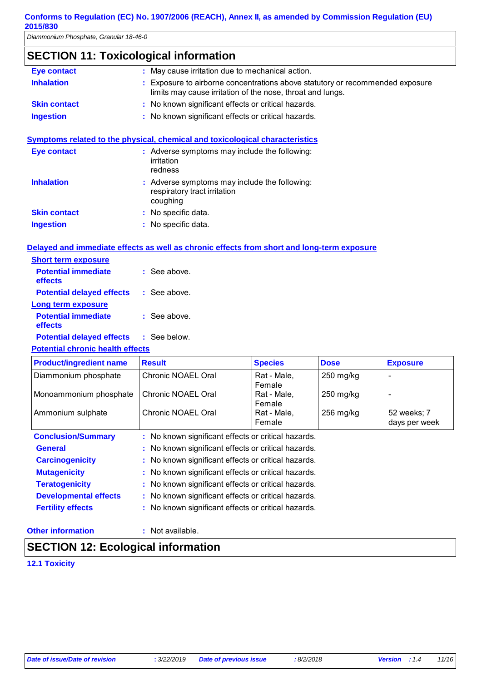*Diammonium Phosphate, Granular 18-46-0* 

# **SECTION 11: Toxicological information**

| Eye contact         | : May cause irritation due to mechanical action.                                                                                            |
|---------------------|---------------------------------------------------------------------------------------------------------------------------------------------|
| <b>Inhalation</b>   | : Exposure to airborne concentrations above statutory or recommended exposure<br>limits may cause irritation of the nose, throat and lungs. |
| <b>Skin contact</b> | : No known significant effects or critical hazards.                                                                                         |
| <b>Ingestion</b>    | : No known significant effects or critical hazards.                                                                                         |
| Eye contact         | Symptoms related to the physical, chemical and toxicological characteristics<br>: Adverse symptoms may include the following:<br>irritation |
|                     | redness                                                                                                                                     |
| <b>Inhalation</b>   | : Adverse symptoms may include the following:<br>respiratory tract irritation<br>coughing                                                   |

# **Delayed and immediate effects as well as chronic effects from short and long-term exposure**

: No specific data. : No specific data.

| <b>Short term exposure</b>              |                |
|-----------------------------------------|----------------|
| <b>Potential immediate</b><br>effects   | : See above.   |
| <b>Potential delayed effects</b>        | : See above.   |
| Long term exposure                      |                |
| <b>Potential immediate</b><br>effects   | $:$ See above. |
| <b>Potential delayed effects</b>        | $:$ See below. |
| 医阿尔伯氏征 医精神性 医血管 医心包 医心包 医心包 医心包 医心包 医心包 |                |

#### **Potential chronic health effects**

**Skin contact Ingestion**

| <b>Product/ingredient name</b> | <b>Result</b>                                       | <b>Species</b>                                      | <b>Dose</b> | <b>Exposure</b> |  |  |
|--------------------------------|-----------------------------------------------------|-----------------------------------------------------|-------------|-----------------|--|--|
| Diammonium phosphate           | Chronic NOAEL Oral                                  | Rat - Male,                                         | $250$ mg/kg |                 |  |  |
|                                |                                                     | Female                                              |             |                 |  |  |
| Monoammonium phosphate         | Chronic NOAEL Oral                                  | Rat - Male,                                         | $250$ mg/kg |                 |  |  |
|                                |                                                     | Female                                              |             |                 |  |  |
| Ammonium sulphate              | Chronic NOAEL Oral                                  | Rat - Male,                                         | $256$ mg/kg | 52 weeks; 7     |  |  |
|                                |                                                     | Female                                              |             | days per week   |  |  |
| <b>Conclusion/Summary</b>      | : No known significant effects or critical hazards. |                                                     |             |                 |  |  |
| <b>General</b>                 |                                                     | : No known significant effects or critical hazards. |             |                 |  |  |
| <b>Carcinogenicity</b>         | : No known significant effects or critical hazards. |                                                     |             |                 |  |  |
| <b>Mutagenicity</b>            | : No known significant effects or critical hazards. |                                                     |             |                 |  |  |
| <b>Teratogenicity</b>          | : No known significant effects or critical hazards. |                                                     |             |                 |  |  |
| <b>Developmental effects</b>   | : No known significant effects or critical hazards. |                                                     |             |                 |  |  |
| <b>Fertility effects</b>       | : No known significant effects or critical hazards. |                                                     |             |                 |  |  |

#### **Other information :**

: Not available.

# **SECTION 12: Ecological information**

**12.1 Toxicity**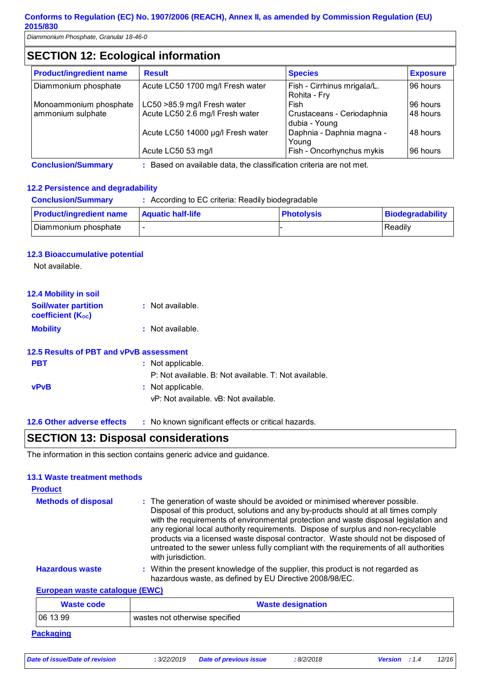*Diammonium Phosphate, Granular 18-46-0* 

# **SECTION 12: Ecological information**

| <b>Product/ingredient name</b> | <b>Result</b>                     | <b>Species</b>                              | <b>Exposure</b> |
|--------------------------------|-----------------------------------|---------------------------------------------|-----------------|
| Diammonium phosphate           | Acute LC50 1700 mg/l Fresh water  | Fish - Cirrhinus mrigala/L.<br>Rohita - Fry | 96 hours        |
| Monoammonium phosphate         | LC50 > 85.9 mg/l Fresh water      | Fish                                        | 96 hours        |
| ammonium sulphate              | Acute LC50 2.6 mg/l Fresh water   | Crustaceans - Ceriodaphnia<br>dubia - Young | 148 hours       |
|                                | Acute LC50 14000 µg/l Fresh water | Daphnia - Daphnia magna -<br>Young          | 48 hours        |
|                                | Acute LC50 53 mg/l                | Fish - Oncorhynchus mykis                   | 96 hours        |

**Conclusion/Summary :** Based on available data, the classification criteria are not met.

#### **12.2 Persistence and degradability**

| <b>Conclusion/Summary</b>      | : According to EC criteria: Readily biodegradable |                   |                  |  |
|--------------------------------|---------------------------------------------------|-------------------|------------------|--|
| <b>Product/ingredient name</b> | <b>Aquatic half-life</b>                          | <b>Photolysis</b> | Biodegradability |  |
| Diammonium phosphate           |                                                   |                   | Readily          |  |

#### **12.3 Bioaccumulative potential**

Not available.

| <b>12.4 Mobility in soil</b>                            |                  |
|---------------------------------------------------------|------------------|
| <b>Soil/water partition</b><br><b>coefficient (Koc)</b> | : Not available. |
| <b>Mobility</b>                                         | : Not available. |

|             | 12.5 Results of PBT and vPvB assessment               |
|-------------|-------------------------------------------------------|
| <b>PBT</b>  | : Not applicable.                                     |
|             | P: Not available. B: Not available. T: Not available. |
| <b>vPvB</b> | : Not applicable.                                     |
|             | vP: Not available, vB: Not available,                 |
|             |                                                       |

#### **12.6 Other adverse effects** : No known significant effects or critical hazards.

### **SECTION 13: Disposal considerations**

The information in this section contains generic advice and guidance.

#### **13.1 Waste treatment methods**

| <b>Product</b>             |                                                                                                                                                                                                                                                                                                                                                                                                                                                                                                                                                     |
|----------------------------|-----------------------------------------------------------------------------------------------------------------------------------------------------------------------------------------------------------------------------------------------------------------------------------------------------------------------------------------------------------------------------------------------------------------------------------------------------------------------------------------------------------------------------------------------------|
| <b>Methods of disposal</b> | : The generation of waste should be avoided or minimised wherever possible.<br>Disposal of this product, solutions and any by-products should at all times comply<br>with the requirements of environmental protection and waste disposal legislation and<br>any regional local authority requirements. Dispose of surplus and non-recyclable<br>products via a licensed waste disposal contractor. Waste should not be disposed of<br>untreated to the sewer unless fully compliant with the requirements of all authorities<br>with jurisdiction. |
| <b>Hazardous waste</b>     | : Within the present knowledge of the supplier, this product is not regarded as<br>hazardous waste, as defined by EU Directive 2008/98/EC.                                                                                                                                                                                                                                                                                                                                                                                                          |

#### **European waste catalogue (EWC)**

| <b>Waste code</b> | <b>Waste designation</b>       |
|-------------------|--------------------------------|
| 061399            | wastes not otherwise specified |
| . .               |                                |

#### **Packaging**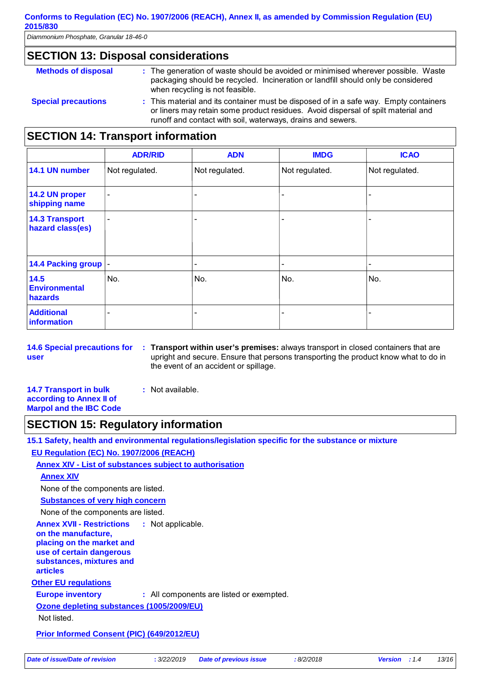*Diammonium Phosphate, Granular 18-46-0* 

### **SECTION 13: Disposal considerations**

| <b>Methods of disposal</b> | : The generation of waste should be avoided or minimised wherever possible. Waste<br>packaging should be recycled. Incineration or landfill should only be considered<br>when recycling is not feasible.                                  |
|----------------------------|-------------------------------------------------------------------------------------------------------------------------------------------------------------------------------------------------------------------------------------------|
| <b>Special precautions</b> | : This material and its container must be disposed of in a safe way. Empty containers<br>or liners may retain some product residues. Avoid dispersal of spilt material and<br>runoff and contact with soil, waterways, drains and sewers. |
|                            |                                                                                                                                                                                                                                           |

# **SECTION 14: Transport information**

|                                           | <b>ADR/RID</b>           | <b>ADN</b>               | <b>IMDG</b>              | <b>ICAO</b>    |
|-------------------------------------------|--------------------------|--------------------------|--------------------------|----------------|
| 14.1 UN number                            | Not regulated.           | Not regulated.           | Not regulated.           | Not regulated. |
| 14.2 UN proper<br>shipping name           | $\overline{\phantom{a}}$ | $\qquad \qquad$          | ٠                        |                |
| <b>14.3 Transport</b><br>hazard class(es) | ٠                        | $\qquad \qquad$          |                          |                |
| 14.4 Packing group  -                     |                          | $\overline{\phantom{0}}$ | $\overline{\phantom{a}}$ |                |
| 14.5<br><b>Environmental</b><br>hazards   | No.                      | No.                      | No.                      | No.            |
| <b>Additional</b><br>information          |                          |                          |                          |                |

**14.6 Special precautions for user Transport within user's premises:** always transport in closed containers that are **:** upright and secure. Ensure that persons transporting the product know what to do in the event of an accident or spillage.

**14.7 Transport in bulk according to Annex II of Marpol and the IBC Code :** Not available.

# **SECTION 15: Regulatory information**

**15.1 Safety, health and environmental regulations/legislation specific for the substance or mixture EU Regulation (EC) No. 1907/2006 (REACH)**

**Annex XIV - List of substances subject to authorisation**

**Annex XIV**

None of the components are listed.

**Substances of very high concern**

None of the components are listed.

**Other EU regulations Annex XVII - Restrictions on the manufacture, placing on the market and use of certain dangerous substances, mixtures and articles** : Not applicable.

**Europe inventory :** All components are listed or exempted.

**Ozone depleting substances (1005/2009/EU)**

Not listed.

**Prior Informed Consent (PIC) (649/2012/EU)**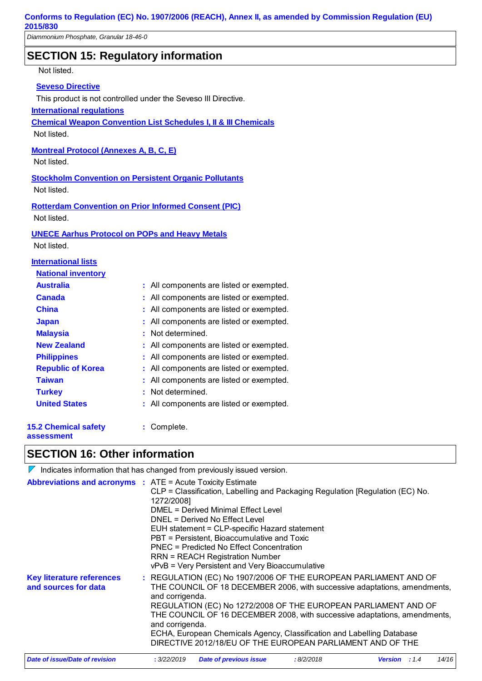# **SECTION 15: Regulatory information**

Not listed.

#### **Seveso Directive**

This product is not controlled under the Seveso III Directive.

**International regulations**

**Chemical Weapon Convention List Schedules I, II & III Chemicals**

Not listed.

**Montreal Protocol (Annexes A, B, C, E)**

Not listed.

**Stockholm Convention on Persistent Organic Pollutants** Not listed.

**Rotterdam Convention on Prior Informed Consent (PIC)** Not listed.

#### **UNECE Aarhus Protocol on POPs and Heavy Metals**

Not listed.

#### **International lists**

| <b>National inventory</b>                 |                                          |
|-------------------------------------------|------------------------------------------|
| <b>Australia</b>                          | : All components are listed or exempted. |
| <b>Canada</b>                             | : All components are listed or exempted. |
| <b>China</b>                              | : All components are listed or exempted. |
| <b>Japan</b>                              | : All components are listed or exempted. |
| <b>Malaysia</b>                           | : Not determined.                        |
| <b>New Zealand</b>                        | : All components are listed or exempted. |
| <b>Philippines</b>                        | : All components are listed or exempted. |
| <b>Republic of Korea</b>                  | : All components are listed or exempted. |
| Taiwan                                    | All components are listed or exempted.   |
| <b>Turkey</b>                             | : Not determined.                        |
| <b>United States</b>                      | : All components are listed or exempted. |
| <b>15.2 Chemical safety</b><br>assessment | Complete.                                |

### **SECTION 16: Other information**

 $\nabla$  Indicates information that has changed from previously issued version.

| <b>Abbreviations and acronyms : ATE = Acute Toxicity Estimate</b>                                                                                                                                                                                                                                                                                                           | 1272/2008]                                                                                | CLP = Classification, Labelling and Packaging Regulation [Regulation (EC) No.<br>DMEL = Derived Minimal Effect Level<br>DNEL = Derived No Effect Level<br>EUH statement = CLP-specific Hazard statement<br>PBT = Persistent, Bioaccumulative and Toxic<br>PNEC = Predicted No Effect Concentration |           |                        |       |
|-----------------------------------------------------------------------------------------------------------------------------------------------------------------------------------------------------------------------------------------------------------------------------------------------------------------------------------------------------------------------------|-------------------------------------------------------------------------------------------|----------------------------------------------------------------------------------------------------------------------------------------------------------------------------------------------------------------------------------------------------------------------------------------------------|-----------|------------------------|-------|
|                                                                                                                                                                                                                                                                                                                                                                             | <b>RRN = REACH Registration Number</b><br>vPvB = Very Persistent and Very Bioaccumulative |                                                                                                                                                                                                                                                                                                    |           |                        |       |
| : REGULATION (EC) No 1907/2006 OF THE EUROPEAN PARLIAMENT AND OF<br><b>Key literature references</b><br>THE COUNCIL OF 18 DECEMBER 2006, with successive adaptations, amendments,<br>and sources for data<br>and corrigenda.<br>REGULATION (EC) No 1272/2008 OF THE EUROPEAN PARLIAMENT AND OF<br>THE COUNCIL OF 16 DECEMBER 2008, with successive adaptations, amendments, |                                                                                           |                                                                                                                                                                                                                                                                                                    |           |                        |       |
|                                                                                                                                                                                                                                                                                                                                                                             | and corrigenda.                                                                           | ECHA, European Chemicals Agency, Classification and Labelling Database<br>DIRECTIVE 2012/18/EU OF THE EUROPEAN PARLIAMENT AND OF THE                                                                                                                                                               |           |                        |       |
| Date of issue/Date of revision                                                                                                                                                                                                                                                                                                                                              | : 3/22/2019                                                                               | Date of previous issue                                                                                                                                                                                                                                                                             | :8/2/2018 | <b>Version</b> : $1.4$ | 14/16 |